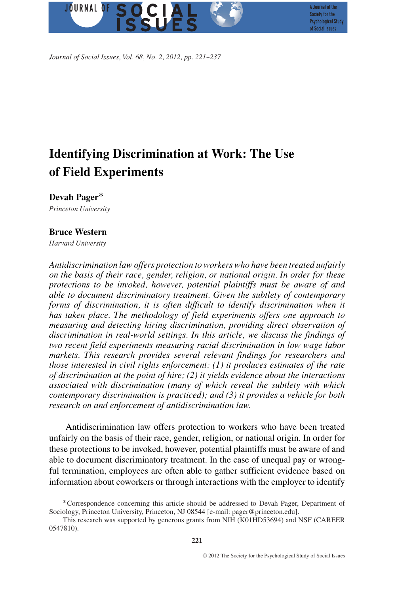

*Journal of Social Issues, Vol. 68, No. 2, 2012, pp. 221--237*

# **Identifying Discrimination at Work: The Use of Field Experiments**

# **Devah Pager**∗

*Princeton University*

# **Bruce Western**

*Harvard University*

*Antidiscrimination law offers protection to workers who have been treated unfairly on the basis of their race, gender, religion, or national origin. In order for these protections to be invoked, however, potential plaintiffs must be aware of and able to document discriminatory treatment. Given the subtlety of contemporary forms of discrimination, it is often difficult to identify discrimination when it has taken place. The methodology of field experiments offers one approach to measuring and detecting hiring discrimination, providing direct observation of discrimination in real-world settings. In this article, we discuss the findings of two recent field experiments measuring racial discrimination in low wage labor markets. This research provides several relevant findings for researchers and those interested in civil rights enforcement: (1) it produces estimates of the rate of discrimination at the point of hire; (2) it yields evidence about the interactions associated with discrimination (many of which reveal the subtlety with which contemporary discrimination is practiced); and (3) it provides a vehicle for both research on and enforcement of antidiscrimination law.*

Antidiscrimination law offers protection to workers who have been treated unfairly on the basis of their race, gender, religion, or national origin. In order for these protections to be invoked, however, potential plaintiffs must be aware of and able to document discriminatory treatment. In the case of unequal pay or wrongful termination, employees are often able to gather sufficient evidence based on information about coworkers or through interactions with the employer to identify

<sup>∗</sup>Correspondence concerning this article should be addressed to Devah Pager, Department of Sociology, Princeton University, Princeton, NJ 08544 [e-mail: pager@princeton.edu].

This research was supported by generous grants from NIH (K01HD53694) and NSF (CAREER 0547810).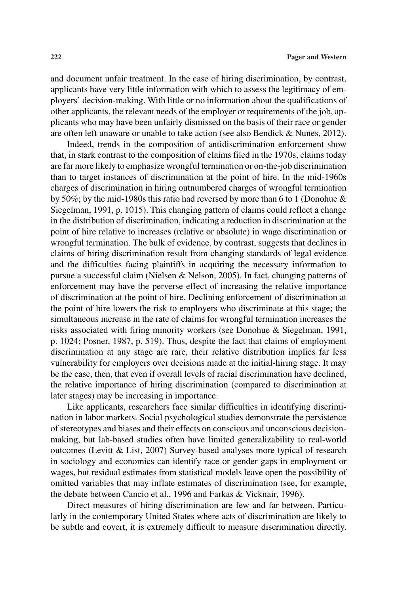and document unfair treatment. In the case of hiring discrimination, by contrast, applicants have very little information with which to assess the legitimacy of employers' decision-making. With little or no information about the qualifications of other applicants, the relevant needs of the employer or requirements of the job, applicants who may have been unfairly dismissed on the basis of their race or gender are often left unaware or unable to take action (see also Bendick & Nunes, 2012).

Indeed, trends in the composition of antidiscrimination enforcement show that, in stark contrast to the composition of claims filed in the 1970s, claims today are far more likely to emphasize wrongful termination or on-the-job discrimination than to target instances of discrimination at the point of hire. In the mid-1960s charges of discrimination in hiring outnumbered charges of wrongful termination by 50%; by the mid-1980s this ratio had reversed by more than 6 to 1 (Donohue & Siegelman, 1991, p. 1015). This changing pattern of claims could reflect a change in the distribution of discrimination, indicating a reduction in discrimination at the point of hire relative to increases (relative or absolute) in wage discrimination or wrongful termination. The bulk of evidence, by contrast, suggests that declines in claims of hiring discrimination result from changing standards of legal evidence and the difficulties facing plaintiffs in acquiring the necessary information to pursue a successful claim (Nielsen & Nelson, 2005). In fact, changing patterns of enforcement may have the perverse effect of increasing the relative importance of discrimination at the point of hire. Declining enforcement of discrimination at the point of hire lowers the risk to employers who discriminate at this stage; the simultaneous increase in the rate of claims for wrongful termination increases the risks associated with firing minority workers (see Donohue & Siegelman, 1991, p. 1024; Posner, 1987, p. 519). Thus, despite the fact that claims of employment discrimination at any stage are rare, their relative distribution implies far less vulnerability for employers over decisions made at the initial-hiring stage. It may be the case, then, that even if overall levels of racial discrimination have declined, the relative importance of hiring discrimination (compared to discrimination at later stages) may be increasing in importance.

Like applicants, researchers face similar difficulties in identifying discrimination in labor markets. Social psychological studies demonstrate the persistence of stereotypes and biases and their effects on conscious and unconscious decisionmaking, but lab-based studies often have limited generalizability to real-world outcomes (Levitt & List, 2007) Survey-based analyses more typical of research in sociology and economics can identify race or gender gaps in employment or wages, but residual estimates from statistical models leave open the possibility of omitted variables that may inflate estimates of discrimination (see, for example, the debate between Cancio et al., 1996 and Farkas & Vicknair, 1996).

Direct measures of hiring discrimination are few and far between. Particularly in the contemporary United States where acts of discrimination are likely to be subtle and covert, it is extremely difficult to measure discrimination directly.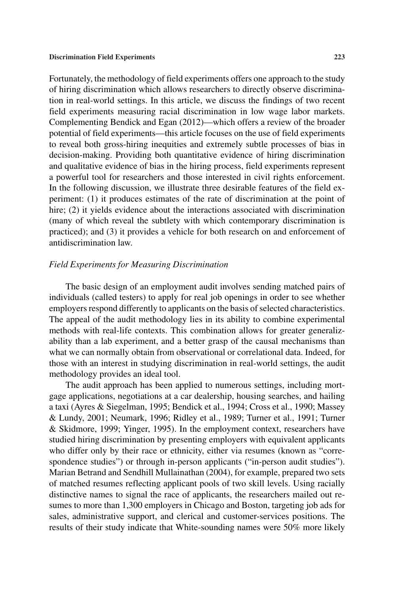Fortunately, the methodology of field experiments offers one approach to the study of hiring discrimination which allows researchers to directly observe discrimination in real-world settings. In this article, we discuss the findings of two recent field experiments measuring racial discrimination in low wage labor markets. Complementing Bendick and Egan (2012)—which offers a review of the broader potential of field experiments—this article focuses on the use of field experiments to reveal both gross-hiring inequities and extremely subtle processes of bias in decision-making. Providing both quantitative evidence of hiring discrimination and qualitative evidence of bias in the hiring process, field experiments represent a powerful tool for researchers and those interested in civil rights enforcement. In the following discussion, we illustrate three desirable features of the field experiment: (1) it produces estimates of the rate of discrimination at the point of hire; (2) it yields evidence about the interactions associated with discrimination (many of which reveal the subtlety with which contemporary discrimination is practiced); and (3) it provides a vehicle for both research on and enforcement of antidiscrimination law.

# *Field Experiments for Measuring Discrimination*

The basic design of an employment audit involves sending matched pairs of individuals (called testers) to apply for real job openings in order to see whether employers respond differently to applicants on the basis of selected characteristics. The appeal of the audit methodology lies in its ability to combine experimental methods with real-life contexts. This combination allows for greater generalizability than a lab experiment, and a better grasp of the causal mechanisms than what we can normally obtain from observational or correlational data. Indeed, for those with an interest in studying discrimination in real-world settings, the audit methodology provides an ideal tool.

The audit approach has been applied to numerous settings, including mortgage applications, negotiations at a car dealership, housing searches, and hailing a taxi (Ayres & Siegelman, 1995; Bendick et al., 1994; Cross et al., 1990; Massey & Lundy, 2001; Neumark, 1996; Ridley et al., 1989; Turner et al., 1991; Turner & Skidmore, 1999; Yinger, 1995). In the employment context, researchers have studied hiring discrimination by presenting employers with equivalent applicants who differ only by their race or ethnicity, either via resumes (known as "correspondence studies") or through in-person applicants ("in-person audit studies"). Marian Betrand and Sendhill Mullainathan (2004), for example, prepared two sets of matched resumes reflecting applicant pools of two skill levels. Using racially distinctive names to signal the race of applicants, the researchers mailed out resumes to more than 1,300 employers in Chicago and Boston, targeting job ads for sales, administrative support, and clerical and customer-services positions. The results of their study indicate that White-sounding names were 50% more likely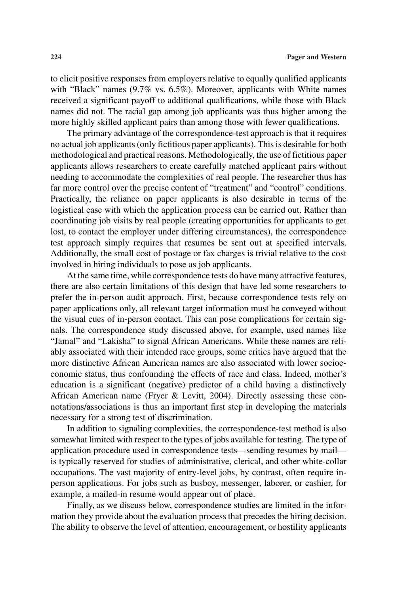to elicit positive responses from employers relative to equally qualified applicants with "Black" names (9.7% vs. 6.5%). Moreover, applicants with White names received a significant payoff to additional qualifications, while those with Black names did not. The racial gap among job applicants was thus higher among the more highly skilled applicant pairs than among those with fewer qualifications.

The primary advantage of the correspondence-test approach is that it requires no actual job applicants (only fictitious paper applicants). This is desirable for both methodological and practical reasons. Methodologically, the use of fictitious paper applicants allows researchers to create carefully matched applicant pairs without needing to accommodate the complexities of real people. The researcher thus has far more control over the precise content of "treatment" and "control" conditions. Practically, the reliance on paper applicants is also desirable in terms of the logistical ease with which the application process can be carried out. Rather than coordinating job visits by real people (creating opportunities for applicants to get lost, to contact the employer under differing circumstances), the correspondence test approach simply requires that resumes be sent out at specified intervals. Additionally, the small cost of postage or fax charges is trivial relative to the cost involved in hiring individuals to pose as job applicants.

At the same time, while correspondence tests do have many attractive features, there are also certain limitations of this design that have led some researchers to prefer the in-person audit approach. First, because correspondence tests rely on paper applications only, all relevant target information must be conveyed without the visual cues of in-person contact. This can pose complications for certain signals. The correspondence study discussed above, for example, used names like "Jamal" and "Lakisha" to signal African Americans. While these names are reliably associated with their intended race groups, some critics have argued that the more distinctive African American names are also associated with lower socioeconomic status, thus confounding the effects of race and class. Indeed, mother's education is a significant (negative) predictor of a child having a distinctively African American name (Fryer & Levitt, 2004). Directly assessing these connotations/associations is thus an important first step in developing the materials necessary for a strong test of discrimination.

In addition to signaling complexities, the correspondence-test method is also somewhat limited with respect to the types of jobs available for testing. The type of application procedure used in correspondence tests—sending resumes by mail is typically reserved for studies of administrative, clerical, and other white-collar occupations. The vast majority of entry-level jobs, by contrast, often require inperson applications. For jobs such as busboy, messenger, laborer, or cashier, for example, a mailed-in resume would appear out of place.

Finally, as we discuss below, correspondence studies are limited in the information they provide about the evaluation process that precedes the hiring decision. The ability to observe the level of attention, encouragement, or hostility applicants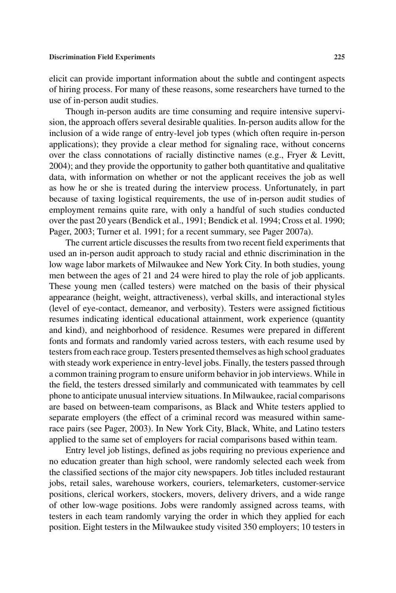elicit can provide important information about the subtle and contingent aspects of hiring process. For many of these reasons, some researchers have turned to the use of in-person audit studies.

Though in-person audits are time consuming and require intensive supervision, the approach offers several desirable qualities. In-person audits allow for the inclusion of a wide range of entry-level job types (which often require in-person applications); they provide a clear method for signaling race, without concerns over the class connotations of racially distinctive names (e.g., Fryer & Levitt, 2004); and they provide the opportunity to gather both quantitative and qualitative data, with information on whether or not the applicant receives the job as well as how he or she is treated during the interview process. Unfortunately, in part because of taxing logistical requirements, the use of in-person audit studies of employment remains quite rare, with only a handful of such studies conducted over the past 20 years (Bendick et al., 1991; Bendick et al. 1994; Cross et al. 1990; Pager, 2003; Turner et al. 1991; for a recent summary, see Pager 2007a).

The current article discusses the results from two recent field experiments that used an in-person audit approach to study racial and ethnic discrimination in the low wage labor markets of Milwaukee and New York City. In both studies, young men between the ages of 21 and 24 were hired to play the role of job applicants. These young men (called testers) were matched on the basis of their physical appearance (height, weight, attractiveness), verbal skills, and interactional styles (level of eye-contact, demeanor, and verbosity). Testers were assigned fictitious resumes indicating identical educational attainment, work experience (quantity and kind), and neighborhood of residence. Resumes were prepared in different fonts and formats and randomly varied across testers, with each resume used by testers from each race group. Testers presented themselves as high school graduates with steady work experience in entry-level jobs. Finally, the testers passed through a common training program to ensure uniform behavior in job interviews. While in the field, the testers dressed similarly and communicated with teammates by cell phone to anticipate unusual interview situations. In Milwaukee, racial comparisons are based on between-team comparisons, as Black and White testers applied to separate employers (the effect of a criminal record was measured within samerace pairs (see Pager, 2003). In New York City, Black, White, and Latino testers applied to the same set of employers for racial comparisons based within team.

Entry level job listings, defined as jobs requiring no previous experience and no education greater than high school, were randomly selected each week from the classified sections of the major city newspapers. Job titles included restaurant jobs, retail sales, warehouse workers, couriers, telemarketers, customer-service positions, clerical workers, stockers, movers, delivery drivers, and a wide range of other low-wage positions. Jobs were randomly assigned across teams, with testers in each team randomly varying the order in which they applied for each position. Eight testers in the Milwaukee study visited 350 employers; 10 testers in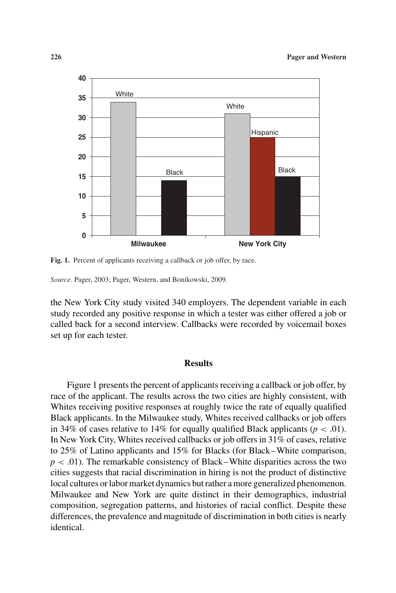

Fig. 1. Percent of applicants receiving a callback or job offer, by race.

*Source*. Pager, 2003; Pager, Western, and Bonikowski, 2009.

the New York City study visited 340 employers. The dependent variable in each study recorded any positive response in which a tester was either offered a job or called back for a second interview. Callbacks were recorded by voicemail boxes set up for each tester.

# **Results**

Figure 1 presents the percent of applicants receiving a callback or job offer, by race of the applicant. The results across the two cities are highly consistent, with Whites receiving positive responses at roughly twice the rate of equally qualified Black applicants. In the Milwaukee study, Whites received callbacks or job offers in 34% of cases relative to 14% for equally qualified Black applicants ( $p < .01$ ). In New York City, Whites received callbacks or job offers in 31% of cases, relative to 25% of Latino applicants and 15% for Blacks (for Black–White comparison, *p <* .01). The remarkable consistency of Black–White disparities across the two cities suggests that racial discrimination in hiring is not the product of distinctive local cultures or labor market dynamics but rather a more generalized phenomenon. Milwaukee and New York are quite distinct in their demographics, industrial composition, segregation patterns, and histories of racial conflict. Despite these differences, the prevalence and magnitude of discrimination in both cities is nearly identical.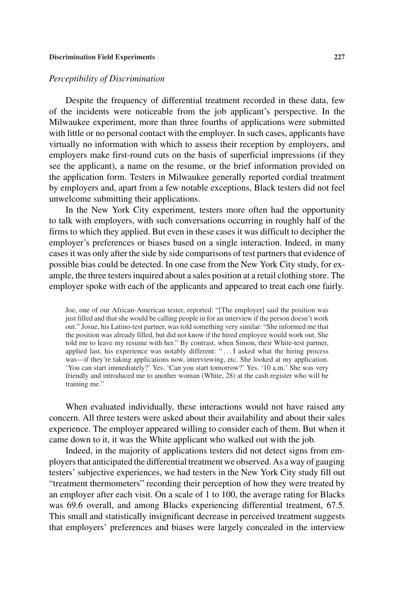## *Perceptibility of Discrimination*

Despite the frequency of differential treatment recorded in these data, few of the incidents were noticeable from the job applicant's perspective. In the Milwaukee experiment, more than three fourths of applications were submitted with little or no personal contact with the employer. In such cases, applicants have virtually no information with which to assess their reception by employers, and employers make first-round cuts on the basis of superficial impressions (if they see the applicant), a name on the resume, or the brief information provided on the application form. Testers in Milwaukee generally reported cordial treatment by employers and, apart from a few notable exceptions, Black testers did not feel unwelcome submitting their applications.

In the New York City experiment, testers more often had the opportunity to talk with employers, with such conversations occurring in roughly half of the firms to which they applied. But even in these cases it was difficult to decipher the employer's preferences or biases based on a single interaction. Indeed, in many cases it was only after the side by side comparisons of test partners that evidence of possible bias could be detected. In one case from the New York City study, for example, the three testers inquired about a sales position at a retail clothing store. The employer spoke with each of the applicants and appeared to treat each one fairly.

Joe, one of our African-American tester, reported: "[The employer] said the position was just filled and that she would be calling people in for an interview if the person doesn't work out." Josue, his Latino-test partner, was told something very similar: "She informed me that the position was already filled, but did not know if the hired employee would work out. She told me to leave my resume with her." By contrast, when Simon, their White-test partner, applied last, his experience was notably different: "... I asked what the hiring process was—if they're taking applications now, interviewing, etc. She looked at my application. 'You can start immediately?' Yes. 'Can you start tomorrow?' Yes. '10 a.m.' She was very friendly and introduced me to another woman (White, 28) at the cash register who will be training me."

When evaluated individually, these interactions would not have raised any concern. All three testers were asked about their availability and about their sales experience. The employer appeared willing to consider each of them. But when it came down to it, it was the White applicant who walked out with the job.

Indeed, in the majority of applications testers did not detect signs from employers that anticipated the differential treatment we observed. As a way of gauging testers' subjective experiences, we had testers in the New York City study fill out "treatment thermometers" recording their perception of how they were treated by an employer after each visit. On a scale of 1 to 100, the average rating for Blacks was 69.6 overall, and among Blacks experiencing differential treatment, 67.5. This small and statistically insignificant decrease in perceived treatment suggests that employers' preferences and biases were largely concealed in the interview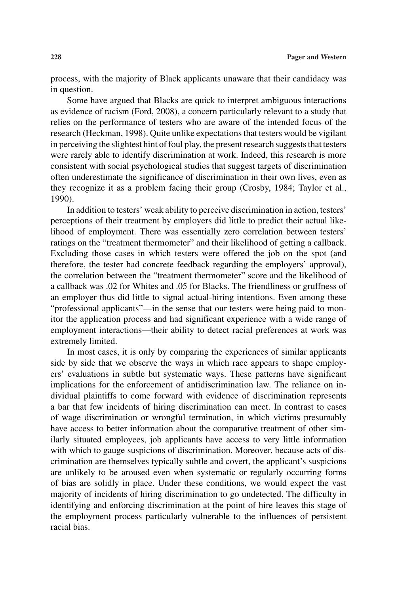process, with the majority of Black applicants unaware that their candidacy was in question.

Some have argued that Blacks are quick to interpret ambiguous interactions as evidence of racism (Ford, 2008), a concern particularly relevant to a study that relies on the performance of testers who are aware of the intended focus of the research (Heckman, 1998). Quite unlike expectations that testers would be vigilant in perceiving the slightest hint of foul play, the present research suggests that testers were rarely able to identify discrimination at work. Indeed, this research is more consistent with social psychological studies that suggest targets of discrimination often underestimate the significance of discrimination in their own lives, even as they recognize it as a problem facing their group (Crosby, 1984; Taylor et al., 1990).

In addition to testers' weak ability to perceive discrimination in action, testers' perceptions of their treatment by employers did little to predict their actual likelihood of employment. There was essentially zero correlation between testers' ratings on the "treatment thermometer" and their likelihood of getting a callback. Excluding those cases in which testers were offered the job on the spot (and therefore, the tester had concrete feedback regarding the employers' approval), the correlation between the "treatment thermometer" score and the likelihood of a callback was .02 for Whites and .05 for Blacks. The friendliness or gruffness of an employer thus did little to signal actual-hiring intentions. Even among these "professional applicants"—in the sense that our testers were being paid to monitor the application process and had significant experience with a wide range of employment interactions—their ability to detect racial preferences at work was extremely limited.

In most cases, it is only by comparing the experiences of similar applicants side by side that we observe the ways in which race appears to shape employers' evaluations in subtle but systematic ways. These patterns have significant implications for the enforcement of antidiscrimination law. The reliance on individual plaintiffs to come forward with evidence of discrimination represents a bar that few incidents of hiring discrimination can meet. In contrast to cases of wage discrimination or wrongful termination, in which victims presumably have access to better information about the comparative treatment of other similarly situated employees, job applicants have access to very little information with which to gauge suspicions of discrimination. Moreover, because acts of discrimination are themselves typically subtle and covert, the applicant's suspicions are unlikely to be aroused even when systematic or regularly occurring forms of bias are solidly in place. Under these conditions, we would expect the vast majority of incidents of hiring discrimination to go undetected. The difficulty in identifying and enforcing discrimination at the point of hire leaves this stage of the employment process particularly vulnerable to the influences of persistent racial bias.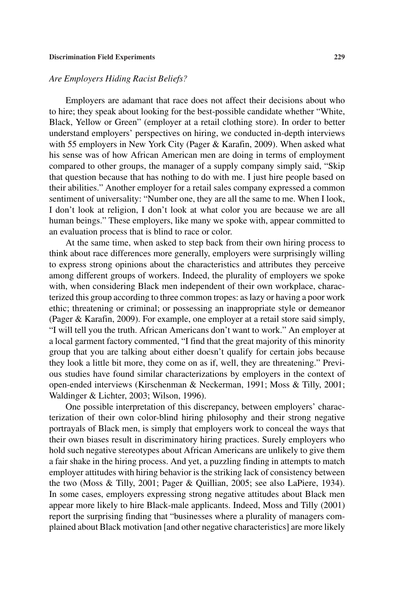## *Are Employers Hiding Racist Beliefs?*

Employers are adamant that race does not affect their decisions about who to hire; they speak about looking for the best-possible candidate whether "White, Black, Yellow or Green" (employer at a retail clothing store). In order to better understand employers' perspectives on hiring, we conducted in-depth interviews with 55 employers in New York City (Pager & Karafin, 2009). When asked what his sense was of how African American men are doing in terms of employment compared to other groups, the manager of a supply company simply said, "Skip that question because that has nothing to do with me. I just hire people based on their abilities." Another employer for a retail sales company expressed a common sentiment of universality: "Number one, they are all the same to me. When I look, I don't look at religion, I don't look at what color you are because we are all human beings." These employers, like many we spoke with, appear committed to an evaluation process that is blind to race or color.

At the same time, when asked to step back from their own hiring process to think about race differences more generally, employers were surprisingly willing to express strong opinions about the characteristics and attributes they perceive among different groups of workers. Indeed, the plurality of employers we spoke with, when considering Black men independent of their own workplace, characterized this group according to three common tropes: as lazy or having a poor work ethic; threatening or criminal; or possessing an inappropriate style or demeanor (Pager & Karafin, 2009). For example, one employer at a retail store said simply, "I will tell you the truth. African Americans don't want to work." An employer at a local garment factory commented, "I find that the great majority of this minority group that you are talking about either doesn't qualify for certain jobs because they look a little bit more, they come on as if, well, they are threatening." Previous studies have found similar characterizations by employers in the context of open-ended interviews (Kirschenman & Neckerman, 1991; Moss & Tilly, 2001; Waldinger & Lichter, 2003; Wilson, 1996).

One possible interpretation of this discrepancy, between employers' characterization of their own color-blind hiring philosophy and their strong negative portrayals of Black men, is simply that employers work to conceal the ways that their own biases result in discriminatory hiring practices. Surely employers who hold such negative stereotypes about African Americans are unlikely to give them a fair shake in the hiring process. And yet, a puzzling finding in attempts to match employer attitudes with hiring behavior is the striking lack of consistency between the two (Moss & Tilly, 2001; Pager & Quillian, 2005; see also LaPiere, 1934). In some cases, employers expressing strong negative attitudes about Black men appear more likely to hire Black-male applicants. Indeed, Moss and Tilly (2001) report the surprising finding that "businesses where a plurality of managers complained about Black motivation [and other negative characteristics] are more likely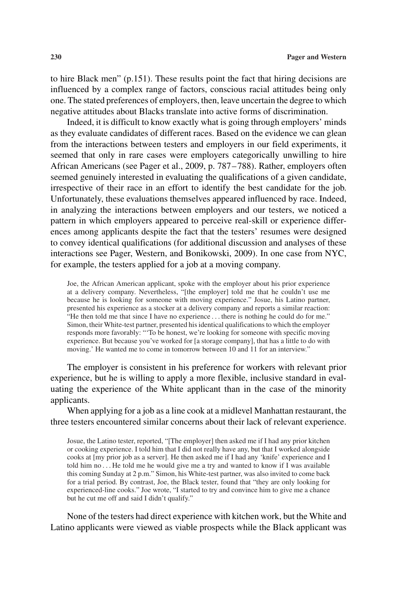to hire Black men" (p.151). These results point the fact that hiring decisions are influenced by a complex range of factors, conscious racial attitudes being only one. The stated preferences of employers, then, leave uncertain the degree to which negative attitudes about Blacks translate into active forms of discrimination.

Indeed, it is difficult to know exactly what is going through employers' minds as they evaluate candidates of different races. Based on the evidence we can glean from the interactions between testers and employers in our field experiments, it seemed that only in rare cases were employers categorically unwilling to hire African Americans (see Pager et al., 2009, p. 787 – 788). Rather, employers often seemed genuinely interested in evaluating the qualifications of a given candidate, irrespective of their race in an effort to identify the best candidate for the job. Unfortunately, these evaluations themselves appeared influenced by race. Indeed, in analyzing the interactions between employers and our testers, we noticed a pattern in which employers appeared to perceive real-skill or experience differences among applicants despite the fact that the testers' resumes were designed to convey identical qualifications (for additional discussion and analyses of these interactions see Pager, Western, and Bonikowski, 2009). In one case from NYC, for example, the testers applied for a job at a moving company.

Joe, the African American applicant, spoke with the employer about his prior experience at a delivery company. Nevertheless, "[the employer] told me that he couldn't use me because he is looking for someone with moving experience." Josue, his Latino partner, presented his experience as a stocker at a delivery company and reports a similar reaction: "He then told me that since I have no experience *...* there is nothing he could do for me." Simon, their White-test partner, presented his identical qualifications to which the employer responds more favorably: "'To be honest, we're looking for someone with specific moving experience. But because you've worked for [a storage company], that has a little to do with moving.' He wanted me to come in tomorrow between 10 and 11 for an interview."

The employer is consistent in his preference for workers with relevant prior experience, but he is willing to apply a more flexible, inclusive standard in evaluating the experience of the White applicant than in the case of the minority applicants.

When applying for a job as a line cook at a midlevel Manhattan restaurant, the three testers encountered similar concerns about their lack of relevant experience.

Josue, the Latino tester, reported, "[The employer] then asked me if I had any prior kitchen or cooking experience. I told him that I did not really have any, but that I worked alongside cooks at [my prior job as a server]. He then asked me if I had any 'knife' experience and I told him no *...* He told me he would give me a try and wanted to know if I was available this coming Sunday at 2 p.m." Simon, his White-test partner, was also invited to come back for a trial period. By contrast, Joe, the Black tester, found that "they are only looking for experienced-line cooks." Joe wrote, "I started to try and convince him to give me a chance but he cut me off and said I didn't qualify."

None of the testers had direct experience with kitchen work, but the White and Latino applicants were viewed as viable prospects while the Black applicant was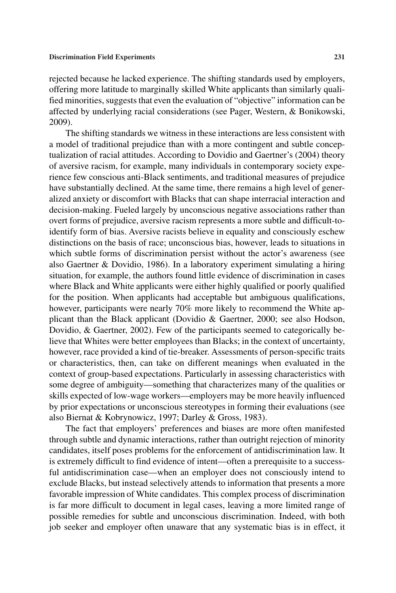rejected because he lacked experience. The shifting standards used by employers, offering more latitude to marginally skilled White applicants than similarly qualified minorities, suggests that even the evaluation of "objective" information can be affected by underlying racial considerations (see Pager, Western, & Bonikowski, 2009).

The shifting standards we witness in these interactions are less consistent with a model of traditional prejudice than with a more contingent and subtle conceptualization of racial attitudes. According to Dovidio and Gaertner's (2004) theory of aversive racism, for example, many individuals in contemporary society experience few conscious anti-Black sentiments, and traditional measures of prejudice have substantially declined. At the same time, there remains a high level of generalized anxiety or discomfort with Blacks that can shape interracial interaction and decision-making. Fueled largely by unconscious negative associations rather than overt forms of prejudice, aversive racism represents a more subtle and difficult-toidentify form of bias. Aversive racists believe in equality and consciously eschew distinctions on the basis of race; unconscious bias, however, leads to situations in which subtle forms of discrimination persist without the actor's awareness (see also Gaertner & Dovidio, 1986). In a laboratory experiment simulating a hiring situation, for example, the authors found little evidence of discrimination in cases where Black and White applicants were either highly qualified or poorly qualified for the position. When applicants had acceptable but ambiguous qualifications, however, participants were nearly 70% more likely to recommend the White applicant than the Black applicant (Dovidio & Gaertner, 2000; see also Hodson, Dovidio, & Gaertner, 2002). Few of the participants seemed to categorically believe that Whites were better employees than Blacks; in the context of uncertainty, however, race provided a kind of tie-breaker. Assessments of person-specific traits or characteristics, then, can take on different meanings when evaluated in the context of group-based expectations. Particularly in assessing characteristics with some degree of ambiguity—something that characterizes many of the qualities or skills expected of low-wage workers—employers may be more heavily influenced by prior expectations or unconscious stereotypes in forming their evaluations (see also Biernat & Kobrynowicz, 1997; Darley & Gross, 1983).

The fact that employers' preferences and biases are more often manifested through subtle and dynamic interactions, rather than outright rejection of minority candidates, itself poses problems for the enforcement of antidiscrimination law. It is extremely difficult to find evidence of intent—often a prerequisite to a successful antidiscrimination case—when an employer does not consciously intend to exclude Blacks, but instead selectively attends to information that presents a more favorable impression of White candidates. This complex process of discrimination is far more difficult to document in legal cases, leaving a more limited range of possible remedies for subtle and unconscious discrimination. Indeed, with both job seeker and employer often unaware that any systematic bias is in effect, it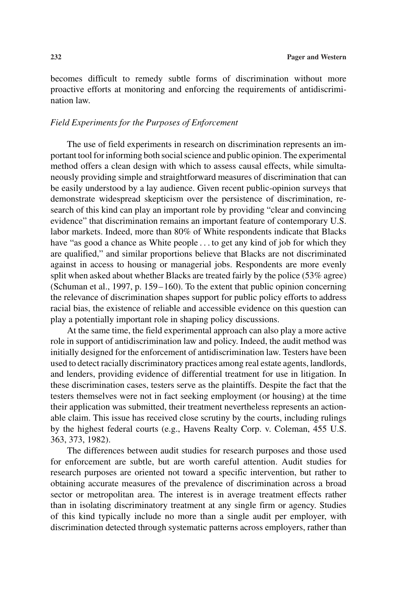becomes difficult to remedy subtle forms of discrimination without more proactive efforts at monitoring and enforcing the requirements of antidiscrimination law.

## *Field Experiments for the Purposes of Enforcement*

The use of field experiments in research on discrimination represents an important tool for informing both social science and public opinion. The experimental method offers a clean design with which to assess causal effects, while simultaneously providing simple and straightforward measures of discrimination that can be easily understood by a lay audience. Given recent public-opinion surveys that demonstrate widespread skepticism over the persistence of discrimination, research of this kind can play an important role by providing "clear and convincing evidence" that discrimination remains an important feature of contemporary U.S. labor markets. Indeed, more than 80% of White respondents indicate that Blacks have "as good a chance as White people *...* to get any kind of job for which they are qualified," and similar proportions believe that Blacks are not discriminated against in access to housing or managerial jobs. Respondents are more evenly split when asked about whether Blacks are treated fairly by the police (53% agree) (Schuman et al., 1997, p. 159 – 160). To the extent that public opinion concerning the relevance of discrimination shapes support for public policy efforts to address racial bias, the existence of reliable and accessible evidence on this question can play a potentially important role in shaping policy discussions.

At the same time, the field experimental approach can also play a more active role in support of antidiscrimination law and policy. Indeed, the audit method was initially designed for the enforcement of antidiscrimination law. Testers have been used to detect racially discriminatory practices among real estate agents, landlords, and lenders, providing evidence of differential treatment for use in litigation. In these discrimination cases, testers serve as the plaintiffs. Despite the fact that the testers themselves were not in fact seeking employment (or housing) at the time their application was submitted, their treatment nevertheless represents an actionable claim. This issue has received close scrutiny by the courts, including rulings by the highest federal courts (e.g., Havens Realty Corp. v. Coleman, 455 U.S. 363, 373, 1982).

The differences between audit studies for research purposes and those used for enforcement are subtle, but are worth careful attention. Audit studies for research purposes are oriented not toward a specific intervention, but rather to obtaining accurate measures of the prevalence of discrimination across a broad sector or metropolitan area. The interest is in average treatment effects rather than in isolating discriminatory treatment at any single firm or agency. Studies of this kind typically include no more than a single audit per employer, with discrimination detected through systematic patterns across employers, rather than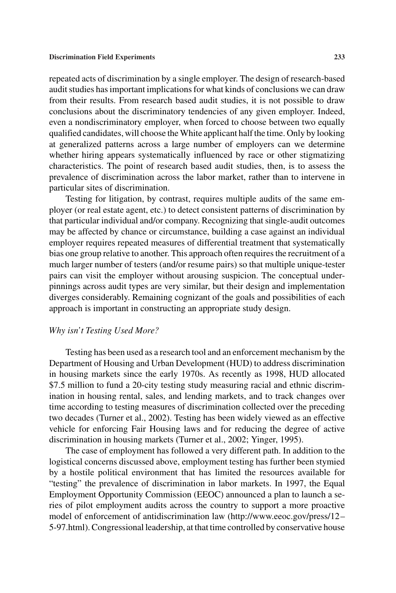repeated acts of discrimination by a single employer. The design of research-based audit studies has important implications for what kinds of conclusions we can draw from their results. From research based audit studies, it is not possible to draw conclusions about the discriminatory tendencies of any given employer. Indeed, even a nondiscriminatory employer, when forced to choose between two equally qualified candidates, will choose theWhite applicant half the time. Only by looking at generalized patterns across a large number of employers can we determine whether hiring appears systematically influenced by race or other stigmatizing characteristics. The point of research based audit studies, then, is to assess the prevalence of discrimination across the labor market, rather than to intervene in particular sites of discrimination.

Testing for litigation, by contrast, requires multiple audits of the same employer (or real estate agent, etc.) to detect consistent patterns of discrimination by that particular individual and/or company. Recognizing that single-audit outcomes may be affected by chance or circumstance, building a case against an individual employer requires repeated measures of differential treatment that systematically bias one group relative to another. This approach often requires the recruitment of a much larger number of testers (and/or resume pairs) so that multiple unique-tester pairs can visit the employer without arousing suspicion. The conceptual underpinnings across audit types are very similar, but their design and implementation diverges considerably. Remaining cognizant of the goals and possibilities of each approach is important in constructing an appropriate study design.

# *Why isn't Testing Used More?*

Testing has been used as a research tool and an enforcement mechanism by the Department of Housing and Urban Development (HUD) to address discrimination in housing markets since the early 1970s. As recently as 1998, HUD allocated \$7.5 million to fund a 20-city testing study measuring racial and ethnic discrimination in housing rental, sales, and lending markets, and to track changes over time according to testing measures of discrimination collected over the preceding two decades (Turner et al., 2002). Testing has been widely viewed as an effective vehicle for enforcing Fair Housing laws and for reducing the degree of active discrimination in housing markets (Turner et al., 2002; Yinger, 1995).

The case of employment has followed a very different path. In addition to the logistical concerns discussed above, employment testing has further been stymied by a hostile political environment that has limited the resources available for "testing" the prevalence of discrimination in labor markets. In 1997, the Equal Employment Opportunity Commission (EEOC) announced a plan to launch a series of pilot employment audits across the country to support a more proactive model of enforcement of antidiscrimination law (http://www.eeoc.gov/press/12– 5-97.html). Congressional leadership, at that time controlled by conservative house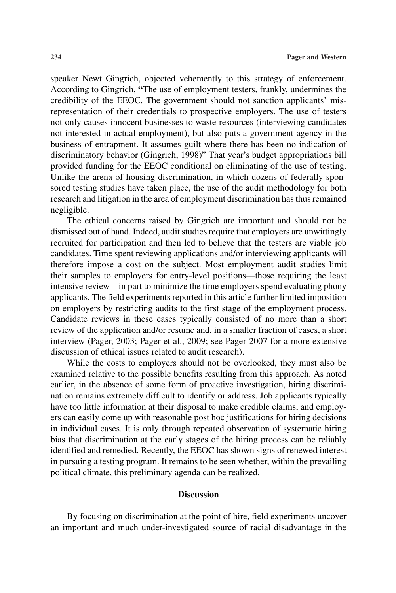speaker Newt Gingrich, objected vehemently to this strategy of enforcement. According to Gingrich, **"**The use of employment testers, frankly, undermines the credibility of the EEOC. The government should not sanction applicants' misrepresentation of their credentials to prospective employers. The use of testers not only causes innocent businesses to waste resources (interviewing candidates not interested in actual employment), but also puts a government agency in the business of entrapment. It assumes guilt where there has been no indication of discriminatory behavior (Gingrich, 1998)" That year's budget appropriations bill provided funding for the EEOC conditional on eliminating of the use of testing. Unlike the arena of housing discrimination, in which dozens of federally sponsored testing studies have taken place, the use of the audit methodology for both research and litigation in the area of employment discrimination has thus remained negligible.

The ethical concerns raised by Gingrich are important and should not be dismissed out of hand. Indeed, audit studies require that employers are unwittingly recruited for participation and then led to believe that the testers are viable job candidates. Time spent reviewing applications and/or interviewing applicants will therefore impose a cost on the subject. Most employment audit studies limit their samples to employers for entry-level positions—those requiring the least intensive review—in part to minimize the time employers spend evaluating phony applicants. The field experiments reported in this article further limited imposition on employers by restricting audits to the first stage of the employment process. Candidate reviews in these cases typically consisted of no more than a short review of the application and/or resume and, in a smaller fraction of cases, a short interview (Pager, 2003; Pager et al., 2009; see Pager 2007 for a more extensive discussion of ethical issues related to audit research).

While the costs to employers should not be overlooked, they must also be examined relative to the possible benefits resulting from this approach. As noted earlier, in the absence of some form of proactive investigation, hiring discrimination remains extremely difficult to identify or address. Job applicants typically have too little information at their disposal to make credible claims, and employers can easily come up with reasonable post hoc justifications for hiring decisions in individual cases. It is only through repeated observation of systematic hiring bias that discrimination at the early stages of the hiring process can be reliably identified and remedied. Recently, the EEOC has shown signs of renewed interest in pursuing a testing program. It remains to be seen whether, within the prevailing political climate, this preliminary agenda can be realized.

# **Discussion**

By focusing on discrimination at the point of hire, field experiments uncover an important and much under-investigated source of racial disadvantage in the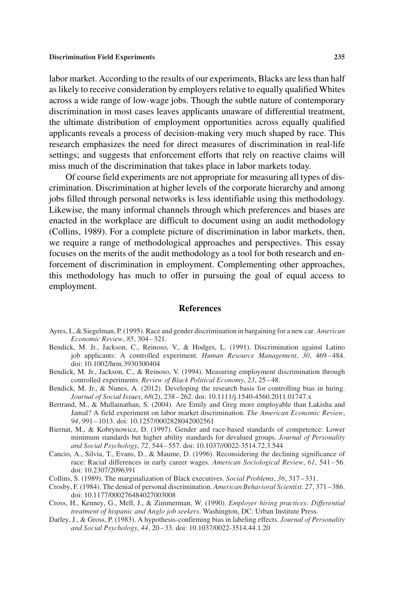labor market. According to the results of our experiments, Blacks are less than half as likely to receive consideration by employers relative to equally qualified Whites across a wide range of low-wage jobs. Though the subtle nature of contemporary discrimination in most cases leaves applicants unaware of differential treatment, the ultimate distribution of employment opportunities across equally qualified applicants reveals a process of decision-making very much shaped by race. This research emphasizes the need for direct measures of discrimination in real-life settings; and suggests that enforcement efforts that rely on reactive claims will miss much of the discrimination that takes place in labor markets today.

Of course field experiments are not appropriate for measuring all types of discrimination. Discrimination at higher levels of the corporate hierarchy and among jobs filled through personal networks is less identifiable using this methodology. Likewise, the many informal channels through which preferences and biases are enacted in the workplace are difficult to document using an audit methodology (Collins, 1989). For a complete picture of discrimination in labor markets, then, we require a range of methodological approaches and perspectives. This essay focuses on the merits of the audit methodology as a tool for both research and enforcement of discrimination in employment. Complementing other approaches, this methodology has much to offer in pursuing the goal of equal access to employment.

# **References**

- Ayres, I., & Siegelman, P. (1995). Race and gender discrimination in bargaining for a new car. *American Economic Review*, *85*, 304 – 321.
- Bendick, M. Jr., Jackson, C., Reinoso, V., & Hodges, L. (1991). Discrimination against Latino job applicants: A controlled experiment. *Human Resource Management*, *30*, 469 – 484. doi: 10.1002/hrm.3930300404
- Bendick, M. Jr., Jackson, C., & Reinoso, V. (1994). Measuring employment discrimination through controlled experiments. *Review of Black Political Economy*, *23*, 25 – 48.
- Bendick, M. Jr.,  $\&$  Nunes, A. (2012). Developing the research basis for controlling bias in hiring. *Journal of Social Issues*, *68*(2), 238 – 262. doi: 10.1111/j.1540-4560.2011.01747.x
- Bertrand, M., & Mullainathan, S. (2004). Are Emily and Greg more employable than Lakisha and Jamal? A field experiment on labor market discrimination. *The American Economic Review*, *94*, 991 – 1013. doi: 10.1257/0002828042002561
- Biernat, M., & Kobrynowicz, D. (1997). Gender and race-based standards of competence: Lower minimum standards but higher ability standards for devalued groups. *Journal of Personality and Social Psychology*, *72*, 544 – 557. doi: 10.1037//0022-3514.72.3.544
- Cancio, A., Silvia, T., Evans, D., & Maume, D. (1996). Reconsidering the declining significance of race: Racial differences in early career wages. *American Sociological Review*, *61*, 541 – 56. doi: 10.2307/2096391
- Collins, S. (1989). The marginalization of Black executives. *Social Problems*, *36*, 317 331.
- Crosby, F. (1984). The denial of personal discrimination. *American Behavioral Scientist*. *27*, 371 386. doi: 10.1177/000276484027003008
- Cross, H., Kenney, G., Mell, J., & Zimmerman, W. (1990). *Employer hiring practices: Differential treatment of hispanic and Anglo job seekers*. Washington, DC: Urban Institute Press.
- Darley, J., & Gross, P. (1983). A hypothesis-confirming bias in labeling effects. *Journal of Personality and Social Psychology*, *44*, 20 – 33. doi: 10.1037/0022-3514.44.1.20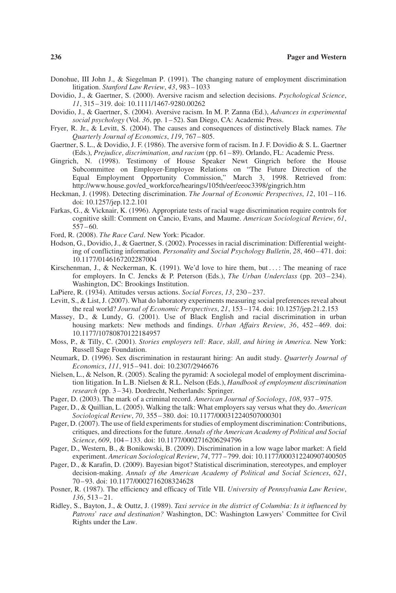- Donohue, III John J., & Siegelman P. (1991). The changing nature of employment discrimination litigation. *Stanford Law Review*, *43*, 983 – 1033
- Dovidio, J., & Gaertner, S. (2000). Aversive racism and selection decisions. *Psychological Science*, *11*, 315 – 319. doi: 10.1111/1467-9280.00262
- Dovidio, J., & Gaertner, S. (2004). Aversive racism. In M. P. Zanna (Ed.), *Advances in experimental social psychology* (Vol. *36*, pp. 1 – 52). San Diego, CA: Academic Press.
- Fryer, R. Jr., & Levitt, S. (2004). The causes and consequences of distinctively Black names. *The Quarterly Journal of Economics*, *119*, 767 – 805.
- Gaertner, S. L., & Dovidio, J. F. (1986). The aversive form of racism. In J. F. Dovidio & S. L. Gaertner (Eds.), *Prejudice, discrimination, and racism* (pp. 61 – 89). Orlando, FL: Academic Press.
- Gingrich, N. (1998). Testimony of House Speaker Newt Gingrich before the House Subcommittee on Employer-Employee Relations on "The Future Direction of the Equal Employment Opportunity Commission," March 3, 1998. Retrieved from: http://www.house.gov/ed\_workforce/hearings/105th/eer/eeoc3398/gingrich.htm
- Heckman, J. (1998). Detecting discrimination. *The Journal of Economic Perspectives*, *12*, 101 116. doi: 10.1257/jep.12.2.101
- Farkas, G., & Vicknair, K. (1996). Appropriate tests of racial wage discrimination require controls for cognitive skill: Comment on Cancio, Evans, and Maume. *American Sociological Review*, *61*,  $557 - 60.$
- Ford, R. (2008). *The Race Card*. New York: Picador.
- Hodson, G., Dovidio, J., & Gaertner, S. (2002). Processes in racial discrimination: Differential weighting of conflicting information. *Personality and Social Psychology Bulletin*, *28*, 460 – 471. doi: 10.1177/0146167202287004
- Kirschenman, J., & Neckerman, K. (1991). We'd love to hire them, but *...* : The meaning of race for employers. In C. Jencks & P. Peterson (Eds.), *The Urban Underclass* (pp. 203 – 234). Washington, DC: Brookings Institution.
- LaPiere, R. (1934). Attitudes versus actions. *Social Forces*, *13*, 230 237.
- Levitt, S., & List, J. (2007). What do laboratory experiments measuring social preferences reveal about the real world? *Journal of Economic Perspectives*, *21*, 153 – 174. doi: 10.1257/jep.21.2.153
- Massey, D., & Lundy, G. (2001). Use of Black English and racial discrimination in urban housing markets: New methods and findings. *Urban Affairs Review*, 36, 452–469. doi: 10.1177/10780870122184957
- Moss, P., & Tilly, C. (2001). *Stories employers tell: Race, skill, and hiring in America*. New York: Russell Sage Foundation.
- Neumark, D. (1996). Sex discrimination in restaurant hiring: An audit study. *Quarterly Journal of Economics*, *111*, 915 – 941. doi: 10.2307/2946676
- Nielsen, L., & Nelson, R. (2005). Scaling the pyramid: A sociolegal model of employment discrimination litigation. In L.B. Nielsen & R.L. Nelson (Eds.), *Handbook of employment discrimination research* (pp. 3 – 34). Dordrecht, Netherlands: Springer.
- Pager, D. (2003). The mark of a criminal record. *American Journal of Sociology*, *108*, 937 975.
- Pager, D., & Quillian, L. (2005). Walking the talk: What employers say versus what they do. *American Sociological Review*, *70*, 355 – 380. doi: 10.1177/000312240507000301
- Pager, D. (2007). The use of field experiments for studies of employment discrimination: Contributions, critiques, and directions for the future. *Annals of the American Academy of Political and Social Science*, *609*, 104 – 133. doi: 10.1177/0002716206294796
- Pager, D., Western, B., & Bonikowski, B. (2009). Discrimination in a low wage labor market: A field experiment. *American Sociological Review*, *74*, 777 – 799. doi: 10.1177/000312240907400505
- Pager, D., & Karafin, D. (2009). Bayesian bigot? Statistical discrimination, stereotypes, and employer decision-making. *Annals of the American Academy of Political and Social Sciences*, *621*, 70 – 93. doi: 10.1177/0002716208324628
- Posner, R. (1987). The efficiency and efficacy of Title VII. *University of Pennsylvania Law Review*, *136*, 513 – 21.
- Ridley, S., Bayton, J., & Outtz, J. (1989). *Taxi service in the district of Columbia: Is it influenced by Patrons' race and destination?* Washington, DC: Washington Lawyers' Committee for Civil Rights under the Law.